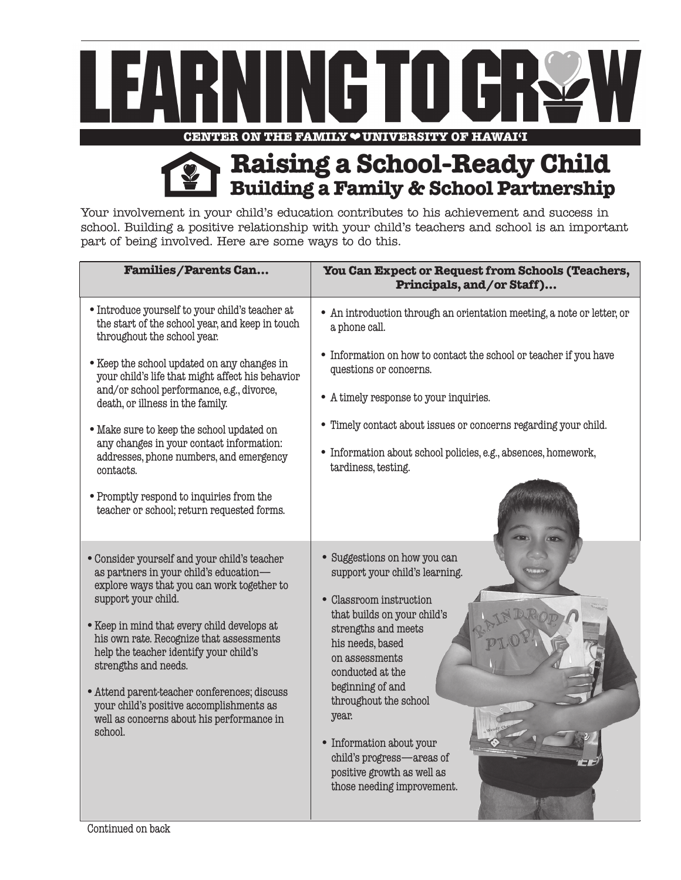

**Raising a School-Ready Child Building a Family & School Partnership**

Your involvement in your child's education contributes to his achievement and success in school. Building a positive relationship with your child's teachers and school is an important part of being involved. Here are some ways to do this.

| <b>Families/Parents Can</b>                                                                                                                                                                                                                                                                                                                                                                                                                                                  | You Can Expect or Request from Schools (Teachers,<br>Principals, and/or Staff)                                                                                                                                                                                                                                                                                                       |
|------------------------------------------------------------------------------------------------------------------------------------------------------------------------------------------------------------------------------------------------------------------------------------------------------------------------------------------------------------------------------------------------------------------------------------------------------------------------------|--------------------------------------------------------------------------------------------------------------------------------------------------------------------------------------------------------------------------------------------------------------------------------------------------------------------------------------------------------------------------------------|
| • Introduce yourself to your child's teacher at<br>the start of the school year, and keep in touch<br>throughout the school year.                                                                                                                                                                                                                                                                                                                                            | • An introduction through an orientation meeting, a note or letter, or<br>a phone call.                                                                                                                                                                                                                                                                                              |
| • Keep the school updated on any changes in<br>your child's life that might affect his behavior<br>and/or school performance, e.g., divorce,<br>death, or illness in the family.                                                                                                                                                                                                                                                                                             | • Information on how to contact the school or teacher if you have<br>questions or concerns.<br>• A timely response to your inquiries.                                                                                                                                                                                                                                                |
| • Make sure to keep the school updated on<br>any changes in your contact information:<br>addresses, phone numbers, and emergency<br>contacts.                                                                                                                                                                                                                                                                                                                                | • Timely contact about issues or concerns regarding your child.<br>• Information about school policies, e.g., absences, homework,<br>tardiness, testing.                                                                                                                                                                                                                             |
| • Promptly respond to inquiries from the<br>teacher or school; return requested forms.                                                                                                                                                                                                                                                                                                                                                                                       |                                                                                                                                                                                                                                                                                                                                                                                      |
| · Consider yourself and your child's teacher<br>as partners in your child's education-<br>explore ways that you can work together to<br>support your child.<br>• Keep in mind that every child develops at<br>his own rate. Recognize that assessments<br>help the teacher identify your child's<br>strengths and needs.<br>• Attend parent-teacher conferences; discuss<br>your child's positive accomplishments as<br>well as concerns about his performance in<br>school. | • Suggestions on how you can<br>support your child's learning.<br>• Classroom instruction<br>that builds on your child's<br>strengths and meets<br>his needs, based<br>on assessments<br>conducted at the<br>beginning of and<br>throughout the school<br>year.<br>• Information about your<br>child's progress-areas of<br>positive growth as well as<br>those needing improvement. |